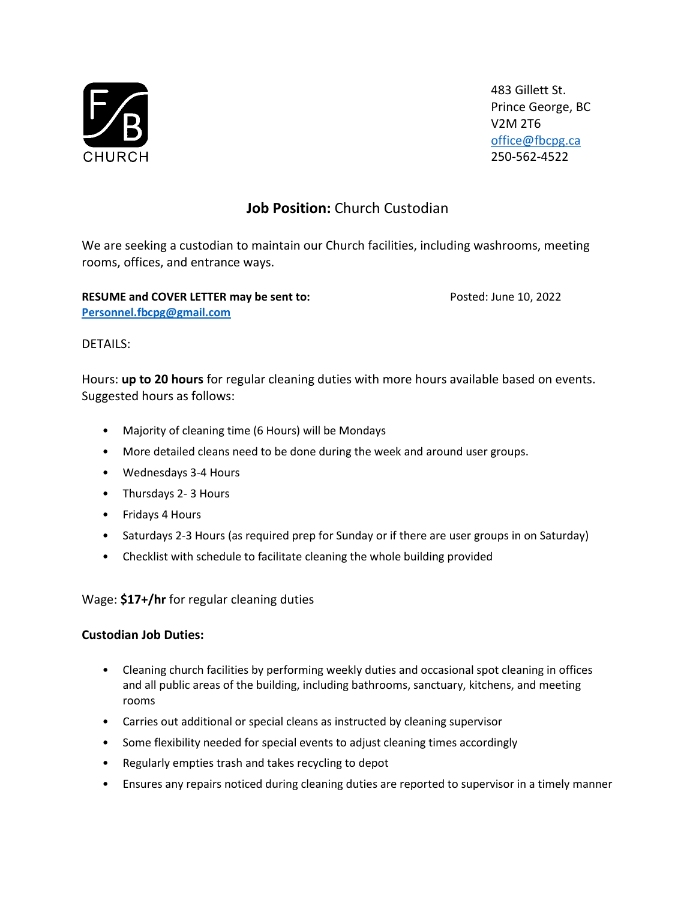

483 Gillett St. Prince George, BC V2M 2T6 [office@fbcpg.ca](mailto:office@fbcpg.ca) 250-562-4522

# **Job Position:** Church Custodian

We are seeking a custodian to maintain our Church facilities, including washrooms, meeting rooms, offices, and entrance ways.

**RESUME and COVER LETTER may be sent to:** Posted: June 10, 2022 **[Personnel.fbcpg@gmail.com](mailto:Personnel.fbcpg@gmail.com)**

## DETAILS:

Hours: **up to 20 hours** for regular cleaning duties with more hours available based on events. Suggested hours as follows:

- Majority of cleaning time (6 Hours) will be Mondays
- More detailed cleans need to be done during the week and around user groups.
- Wednesdays 3-4 Hours
- Thursdays 2- 3 Hours
- Fridays 4 Hours
- Saturdays 2-3 Hours (as required prep for Sunday or if there are user groups in on Saturday)
- Checklist with schedule to facilitate cleaning the whole building provided

### Wage: **\$17+/hr** for regular cleaning duties

### **Custodian Job Duties:**

- Cleaning church facilities by performing weekly duties and occasional spot cleaning in offices and all public areas of the building, including bathrooms, sanctuary, kitchens, and meeting rooms
- Carries out additional or special cleans as instructed by cleaning supervisor
- Some flexibility needed for special events to adjust cleaning times accordingly
- Regularly empties trash and takes recycling to depot
- Ensures any repairs noticed during cleaning duties are reported to supervisor in a timely manner